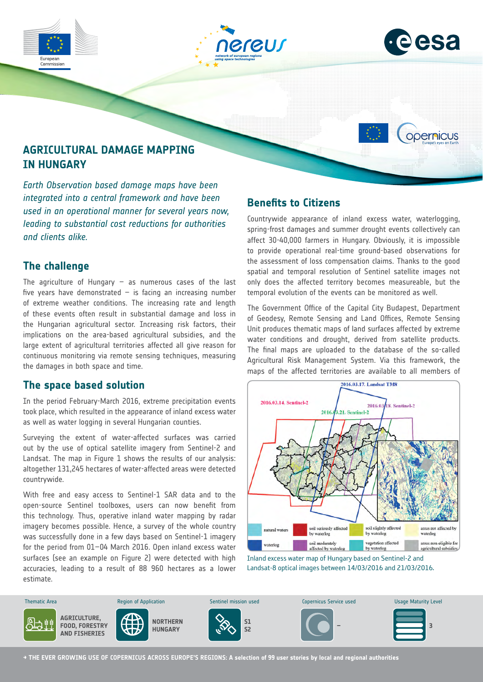







# **AGRICULTURAL DAMAGE MAPPING IN HUNGARY**

*Earth Observation based damage maps have been integrated into a central framework and have been used in an operational manner for several years now, leading to substantial cost reductions for authorities and clients alike.*

## **The challenge**

The agriculture of Hungary  $-$  as numerous cases of the last five years have demonstrated  $-$  is facing an increasing number of extreme weather conditions. The increasing rate and length of these events often result in substantial damage and loss in the Hungarian agricultural sector. Increasing risk factors, their implications on the area-based agricultural subsidies, and the large extent of agricultural territories affected all give reason for continuous monitoring via remote sensing techniques, measuring the damages in both space and time.

## **The space based solution**

In the period February-March 2016, extreme precipitation events took place, which resulted in the appearance of inland excess water as well as water logging in several Hungarian counties.

Surveying the extent of water-affected surfaces was carried out by the use of optical satellite imagery from Sentinel-2 and Landsat. The map in Figure 1 shows the results of our analysis: altogether 131,245 hectares of water-affected areas were detected countrywide.

With free and easy access to Sentinel-1 SAR data and to the open-source Sentinel toolboxes, users can now benefit from this technology. Thus, operative inland water mapping by radar imagery becomes possible. Hence, a survey of the whole country was successfully done in a few days based on Sentinel-1 imagery for the period from 01–04 March 2016. Open inland excess water surfaces (see an example on Figure 2) were detected with high accuracies, leading to a result of 88 960 hectares as a lower estimate.

## **Benefits to Citizens**

Countrywide appearance of inland excess water, waterlogging, spring-frost damages and summer drought events collectively can affect 30-40,000 farmers in Hungary. Obviously, it is impossible to provide operational real-time ground-based observations for the assessment of loss compensation claims. Thanks to the good spatial and temporal resolution of Sentinel satellite images not only does the affected territory becomes measureable, but the temporal evolution of the events can be monitored as well.

The Government Office of the Capital City Budapest, Department of Geodesy, Remote Sensing and Land Offices, Remote Sensing Unit produces thematic maps of land surfaces affected by extreme water conditions and drought, derived from satellite products. The final maps are uploaded to the database of the so-called Agricultural Risk Management System. Via this framework, the maps of the affected territories are available to all members of



Inland excess water map of Hungary based on Sentinel-2 and Landsat-8 optical images between 14/03/2016 and 21/03/2016.



**→ THE EVER GROWING USE OF COPERNICUS ACROSS EUROPE'S REGIONS: A selection of 99 user stories by local and regional authorities**